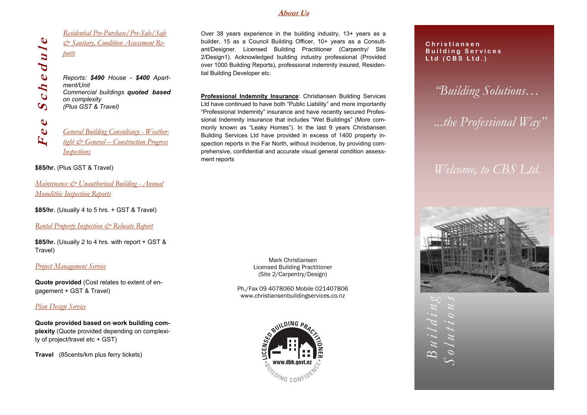#### **About Us**

*Residential Pre-Purchase/Pre-Sale/Safe & Sanitary, Condition Assessment Reports*

*Reports: \$490 House - \$400 Apartment/Unit Commercial buildings quoted based on complexity (Plus GST & Travel)*

**F e e S c h e d u l e**  $\mathbf \omega$ *General Building Consultancy - Weather-* $\mathbf{r}$ *tight & General – Construction Progress Inspections* 

#### **\$85/hr.** (Plus GST & Travel)

 $\mathbf \omega$ 

 $chedul$ 

 $\bullet$ 

 $\bullet$ 

*Maintenance & Unauthorised Building - Annual Monolithic Inspection Reports*

**\$85/hr.** (Usually 4 to 5 hrs. + GST & Travel)

*Rental Property Inspection & Relocate Report*

**\$85/hr.** (Usually 2 to 4 hrs. with report + GST & Travel)

#### *Project Management Service*

**Quote provided** (Cost relates to extent of engagement + GST & Travel)

### *Plan Design Service*

**Quote provided based on work building complexity** (Quote provided depending on complexity of project/travel etc + GST)

**Travel** (85cents/km plus ferry tickets)

Over 38 years experience in the building industry, 13+ years as a builder, 15 as a Council Building Officer, 10+ years as a Consultant/Designer. Licensed Building Practitioner (Carpentry/ Site 2/Design1). Acknowledged building industry professional (Provided over 1000 Building Reports), professional indemnity insured, Residential Building Developer etc.

**Professional Indemnity Insurance**: Christiansen Building Services Ltd have continued to have both "Public Liability" and more importantly "Professional Indemnity" insurance and have recently secured Professional Indemnity insurance that includes "Wet Buildings" (More commonly known as "Leaky Homes"). In the last 9 years Christiansen Building Services Ltd have provided in excess of 1400 property inspection reports in the Far North, without incidence, by providing comprehensive, confidential and accurate visual general condition assessment reports

> Mark Christiansen Licensed Building Practitioner (Site 2/Carpentry/Design)

Ph./Fax 09 4078060 Mobile 021407806 www.christiansenbuildingservices.co.nz



**C h r i s t i a n s e n B u i l d i n g S e r v i c e s Ltd (CBS Ltd.)**

*"Building Solutions…*

*...the Professional Way"*

# *Welcome, to CBS Ltd.*



 $B$ *ui***</del>** *l d i*  $n g$ <sup>*v*</sup>  $B$ uilding *Solutions*